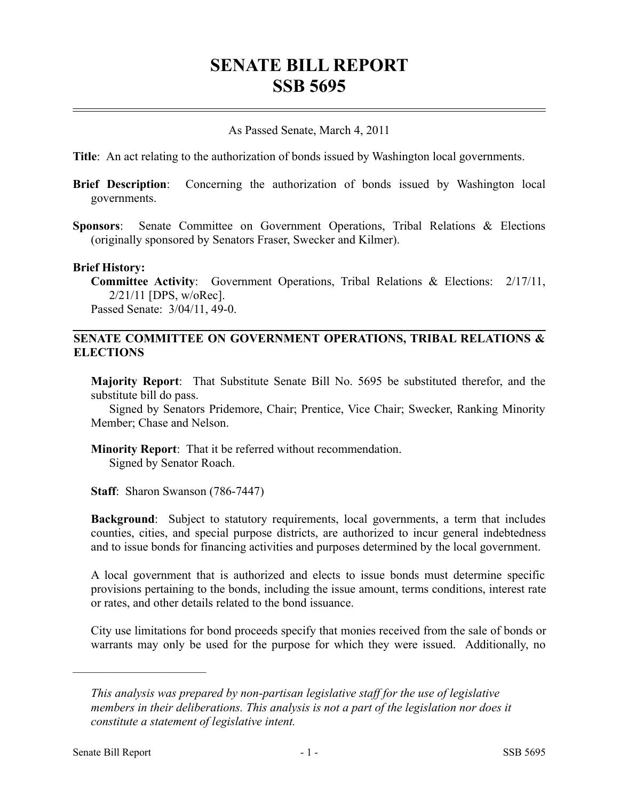# **SENATE BILL REPORT SSB 5695**

### As Passed Senate, March 4, 2011

**Title**: An act relating to the authorization of bonds issued by Washington local governments.

- **Brief Description**: Concerning the authorization of bonds issued by Washington local governments.
- **Sponsors**: Senate Committee on Government Operations, Tribal Relations & Elections (originally sponsored by Senators Fraser, Swecker and Kilmer).

#### **Brief History:**

**Committee Activity**: Government Operations, Tribal Relations & Elections: 2/17/11, 2/21/11 [DPS, w/oRec]. Passed Senate: 3/04/11, 49-0.

## **SENATE COMMITTEE ON GOVERNMENT OPERATIONS, TRIBAL RELATIONS & ELECTIONS**

**Majority Report**: That Substitute Senate Bill No. 5695 be substituted therefor, and the substitute bill do pass.

Signed by Senators Pridemore, Chair; Prentice, Vice Chair; Swecker, Ranking Minority Member; Chase and Nelson.

**Minority Report**: That it be referred without recommendation. Signed by Senator Roach.

**Staff**: Sharon Swanson (786-7447)

**Background**: Subject to statutory requirements, local governments, a term that includes counties, cities, and special purpose districts, are authorized to incur general indebtedness and to issue bonds for financing activities and purposes determined by the local government.

A local government that is authorized and elects to issue bonds must determine specific provisions pertaining to the bonds, including the issue amount, terms conditions, interest rate or rates, and other details related to the bond issuance.

City use limitations for bond proceeds specify that monies received from the sale of bonds or warrants may only be used for the purpose for which they were issued. Additionally, no

––––––––––––––––––––––

*This analysis was prepared by non-partisan legislative staff for the use of legislative members in their deliberations. This analysis is not a part of the legislation nor does it constitute a statement of legislative intent.*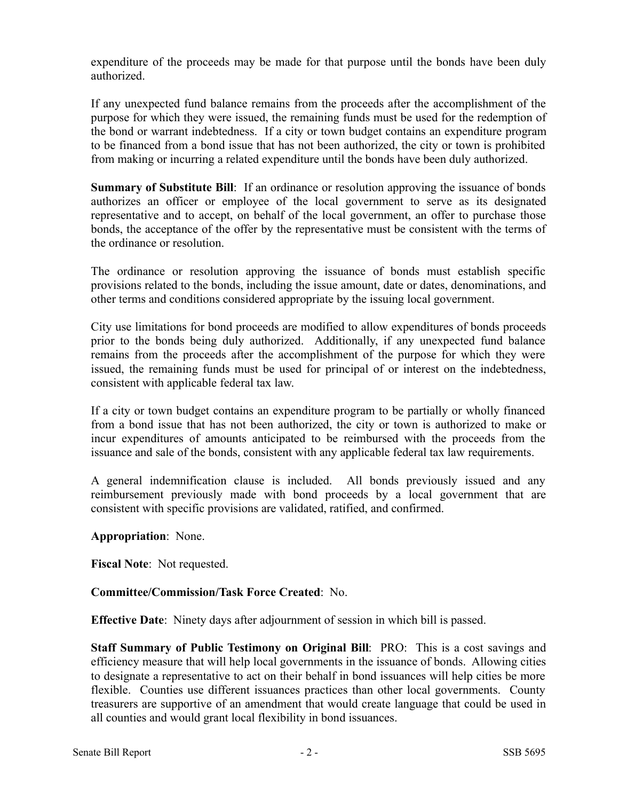expenditure of the proceeds may be made for that purpose until the bonds have been duly authorized.

If any unexpected fund balance remains from the proceeds after the accomplishment of the purpose for which they were issued, the remaining funds must be used for the redemption of the bond or warrant indebtedness. If a city or town budget contains an expenditure program to be financed from a bond issue that has not been authorized, the city or town is prohibited from making or incurring a related expenditure until the bonds have been duly authorized.

**Summary of Substitute Bill:** If an ordinance or resolution approving the issuance of bonds authorizes an officer or employee of the local government to serve as its designated representative and to accept, on behalf of the local government, an offer to purchase those bonds, the acceptance of the offer by the representative must be consistent with the terms of the ordinance or resolution.

The ordinance or resolution approving the issuance of bonds must establish specific provisions related to the bonds, including the issue amount, date or dates, denominations, and other terms and conditions considered appropriate by the issuing local government.

City use limitations for bond proceeds are modified to allow expenditures of bonds proceeds prior to the bonds being duly authorized. Additionally, if any unexpected fund balance remains from the proceeds after the accomplishment of the purpose for which they were issued, the remaining funds must be used for principal of or interest on the indebtedness, consistent with applicable federal tax law.

If a city or town budget contains an expenditure program to be partially or wholly financed from a bond issue that has not been authorized, the city or town is authorized to make or incur expenditures of amounts anticipated to be reimbursed with the proceeds from the issuance and sale of the bonds, consistent with any applicable federal tax law requirements.

A general indemnification clause is included. All bonds previously issued and any reimbursement previously made with bond proceeds by a local government that are consistent with specific provisions are validated, ratified, and confirmed.

# **Appropriation**: None.

**Fiscal Note**: Not requested.

# **Committee/Commission/Task Force Created**: No.

**Effective Date**: Ninety days after adjournment of session in which bill is passed.

**Staff Summary of Public Testimony on Original Bill**: PRO: This is a cost savings and efficiency measure that will help local governments in the issuance of bonds. Allowing cities to designate a representative to act on their behalf in bond issuances will help cities be more flexible. Counties use different issuances practices than other local governments. County treasurers are supportive of an amendment that would create language that could be used in all counties and would grant local flexibility in bond issuances.